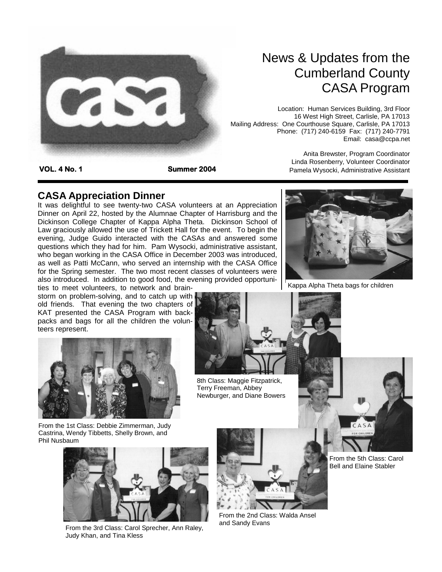

# News & Updates from the Cumberland County CASA Program

Location: Human Services Building, 3rd Floor 16 West High Street, Carlisle, PA 17013 Mailing Address: One Courthouse Square, Carlisle, PA 17013 Phone: (717) 240-6159 Fax: (717) 240-7791 Email: casa@ccpa.net

**VOL. 4 No. 1 Summer 2004** 

Anita Brewster, Program Coordinator Linda Rosenberry, Volunteer Coordinator Pamela Wysocki, Administrative Assistant

# **CASA Appreciation Dinner**

It was delightful to see twenty-two CASA volunteers at an Appreciation Dinner on April 22, hosted by the Alumnae Chapter of Harrisburg and the Dickinson College Chapter of Kappa Alpha Theta. Dickinson School of Law graciously allowed the use of Trickett Hall for the event. To begin the evening, Judge Guido interacted with the CASAs and answered some questions which they had for him. Pam Wysocki, administrative assistant, who began working in the CASA Office in December 2003 was introduced, as well as Patti McCann, who served an internship with the CASA Office for the Spring semester. The two most recent classes of volunteers were also introduced. In addition to good food, the evening provided opportuni-

ties to meet volunteers, to network and brainstorm on problem-solving, and to catch up with old friends. That evening the two chapters of KAT presented the CASA Program with backpacks and bags for all the children the volunteers represent.



From the 1st Class: Debbie Zimmerman, Judy Castrina, Wendy Tibbetts, Shelly Brown, and Phil Nusbaum



From the 3rd Class: Carol Sprecher, Ann Raley, Judy Khan, and Tina Kless



8th Class: Maggie Fitzpatrick, Terry Freeman, Abbey Newburger, and Diane Bowers

From the 2nd Class: Walda Ansel and Sandy Evans



Kappa Alpha Theta bags for children

From the 5th Class: Carol Bell and Elaine Stabler

 $CAS$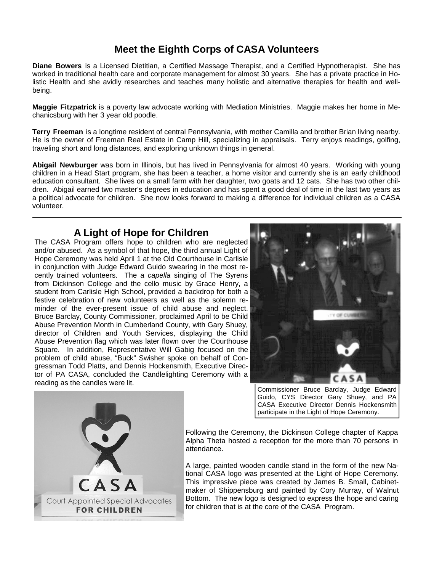# **Meet the Eighth Corps of CASA Volunteers**

**Diane Bowers** is a Licensed Dietitian, a Certified Massage Therapist, and a Certified Hypnotherapist. She has worked in traditional health care and corporate management for almost 30 years. She has a private practice in Holistic Health and she avidly researches and teaches many holistic and alternative therapies for health and wellbeing.

**Maggie Fitzpatrick** is a poverty law advocate working with Mediation Ministries. Maggie makes her home in Mechanicsburg with her 3 year old poodle.

**Terry Freeman** is a longtime resident of central Pennsylvania, with mother Camilla and brother Brian living nearby. He is the owner of Freeman Real Estate in Camp Hill, specializing in appraisals. Terry enjoys readings, golfing, traveling short and long distances, and exploring unknown things in general.

**Abigail Newburger** was born in Illinois, but has lived in Pennsylvania for almost 40 years. Working with young children in a Head Start program, she has been a teacher, a home visitor and currently she is an early childhood education consultant. She lives on a small farm with her daughter, two goats and 12 cats. She has two other children. Abigail earned two master's degrees in education and has spent a good deal of time in the last two years as a political advocate for children. She now looks forward to making a difference for individual children as a CASA volunteer.

#### **A Light of Hope for Children**

The CASA Program offers hope to children who are neglected and/or abused. As a symbol of that hope, the third annual Light of Hope Ceremony was held April 1 at the Old Courthouse in Carlisle in conjunction with Judge Edward Guido swearing in the most recently trained volunteers. The *a capella* singing of The Syrens from Dickinson College and the cello music by Grace Henry, a student from Carlisle High School, provided a backdrop for both a festive celebration of new volunteers as well as the solemn reminder of the ever-present issue of child abuse and neglect. Bruce Barclay, County Commissioner, proclaimed April to be Child Abuse Prevention Month in Cumberland County, with Gary Shuey, director of Children and Youth Services, displaying the Child Abuse Prevention flag which was later flown over the Courthouse Square. In addition, Representative Will Gabig focused on the problem of child abuse, "Buck" Swisher spoke on behalf of Congressman Todd Platts, and Dennis Hockensmith, Executive Director of PA CASA, concluded the Candlelighting Ceremony with a reading as the candles were lit.



Commissioner Bruce Barclay, Judge Edward Guido, CYS Director Gary Shuey, and PA CASA Executive Director Dennis Hockensmith participate in the Light of Hope Ceremony.

Following the Ceremony, the Dickinson College chapter of Kappa Alpha Theta hosted a reception for the more than 70 persons in attendance.

A large, painted wooden candle stand in the form of the new National CASA logo was presented at the Light of Hope Ceremony. This impressive piece was created by James B. Small, Cabinetmaker of Shippensburg and painted by Cory Murray, of Walnut Bottom. The new logo is designed to express the hope and caring for children that is at the core of the CASA Program.

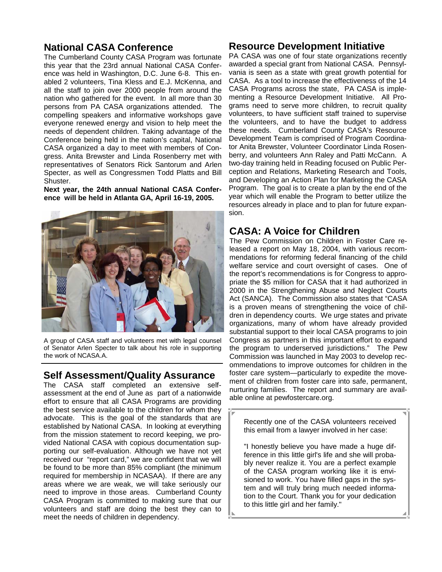## **National CASA Conference**

The Cumberland County CASA Program was fortunate this year that the 23rd annual National CASA Conference was held in Washington, D.C. June 6-8. This enabled 2 volunteers, Tina Kless and E.J. McKenna, and all the staff to join over 2000 people from around the nation who gathered for the event. In all more than 30 persons from PA CASA organizations attended. The compelling speakers and informative workshops gave everyone renewed energy and vision to help meet the needs of dependent children. Taking advantage of the Conference being held in the nation's capital, National CASA organized a day to meet with members of Congress. Anita Brewster and Linda Rosenberry met with representatives of Senators Rick Santorum and Arlen Specter, as well as Congressmen Todd Platts and Bill Shuster.

**Next year, the 24th annual National CASA Conference will be held in Atlanta GA, April 16-19, 2005.** 



A group of CASA staff and volunteers met with legal counsel of Senator Arlen Specter to talk about his role in supporting the work of NCASA.A.

#### **Self Assessment/Quality Assurance**

The CASA staff completed an extensive selfassessment at the end of June as part of a nationwide effort to ensure that all CASA Programs are providing the best service available to the children for whom they advocate. This is the goal of the standards that are established by National CASA. In looking at everything from the mission statement to record keeping, we provided National CASA with copious documentation supporting our self-evaluation. Although we have not yet received our "report card," we are confident that we will be found to be more than 85% compliant (the minimum required for membership in NCASAA). If there are any areas where we are weak, we will take seriously our need to improve in those areas. Cumberland County CASA Program is committed to making sure that our volunteers and staff are doing the best they can to meet the needs of children in dependency.

#### **Resource Development Initiative**

PA CASA was one of four state organizations recently awarded a special grant from National CASA. Pennsylvania is seen as a state with great growth potential for CASA. As a tool to increase the effectiveness of the 14 CASA Programs across the state, PA CASA is implementing a Resource Development Initiative. All Programs need to serve more children, to recruit quality volunteers, to have sufficient staff trained to supervise the volunteers, and to have the budget to address these needs. Cumberland County CASA's Resource Development Team is comprised of Program Coordinator Anita Brewster, Volunteer Coordinator Linda Rosenberry, and volunteers Ann Raley and Patti McCann. A two-day training held in Reading focused on Public Perception and Relations, Marketing Research and Tools, and Developing an Action Plan for Marketing the CASA Program. The goal is to create a plan by the end of the year which will enable the Program to better utilize the resources already in place and to plan for future expansion.

## **CASA: A Voice for Children**

The Pew Commission on Children in Foster Care released a report on May 18, 2004, with various recommendations for reforming federal financing of the child welfare service and court oversight of cases. One of the report's recommendations is for Congress to appropriate the \$5 million for CASA that it had authorized in 2000 in the Strengthening Abuse and Neglect Courts Act (SANCA). The Commission also states that "CASA is a proven means of strengthening the voice of children in dependency courts. We urge states and private organizations, many of whom have already provided substantial support to their local CASA programs to join Congress as partners in this important effort to expand the program to underserved jurisdictions." The Pew Commission was launched in May 2003 to develop recommendations to improve outcomes for children in the foster care system—particularly to expedite the movement of children from foster care into safe, permanent, nurturing families. The report and summary are available online at pewfostercare.org.

Recently one of the CASA volunteers received this email from a lawyer involved in her case:

"I honestly believe you have made a huge difference in this little girl's life and she will probably never realize it. You are a perfect example of the CASA program working like it is envisioned to work. You have filled gaps in the system and will truly bring much needed information to the Court. Thank you for your dedication to this little girl and her family."